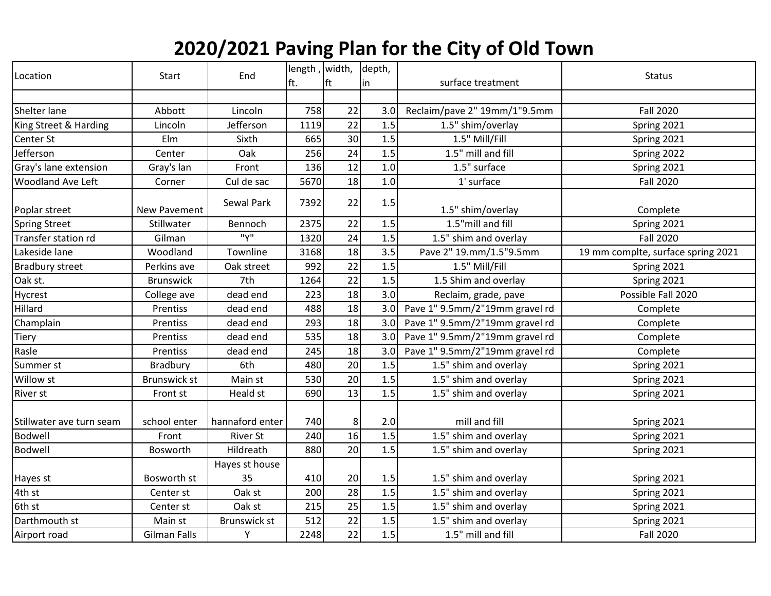## **2020/2021 Paving Plan for the City of Old Town**

| Location                 | Start                | End                 | length, width,<br>ft. | ft              | depth,<br> in | surface treatment              | <b>Status</b>                      |
|--------------------------|----------------------|---------------------|-----------------------|-----------------|---------------|--------------------------------|------------------------------------|
|                          |                      |                     |                       |                 |               |                                |                                    |
| Shelter lane             | Abbott               | Lincoln             | 758                   | 22              | 3.0           | Reclaim/pave 2" 19mm/1"9.5mm   | <b>Fall 2020</b>                   |
| King Street & Harding    | Lincoln              | Jefferson           | 1119                  | 22              | 1.5           | 1.5" shim/overlay              | Spring 2021                        |
| Center St                | Elm                  | Sixth               | 665                   | 30              | 1.5           | 1.5" Mill/Fill                 | Spring 2021                        |
| Jefferson                | Center               | Oak                 | 256                   | 24              | 1.5           | 1.5" mill and fill             | Spring 2022                        |
| Gray's lane extension    | Gray's lan           | Front               | 136                   | 12              | 1.0           | 1.5" surface                   | Spring 2021                        |
| <b>Woodland Ave Left</b> | Corner               | Cul de sac          | 5670                  | 18              | 1.0           | 1' surface                     | <b>Fall 2020</b>                   |
| Poplar street            | New Pavement         | Sewal Park          | 7392                  | 22              | 1.5           | 1.5" shim/overlay              | Complete                           |
| <b>Spring Street</b>     | Stillwater           | Bennoch             | 2375                  | 22              | 1.5           | 1.5"mill and fill              | Spring 2021                        |
| Transfer station rd      | Gilman               | "Υ"                 | 1320                  | 24              | 1.5           | 1.5" shim and overlay          | <b>Fall 2020</b>                   |
| Lakeside lane            | Woodland             | Townline            | 3168                  | 18              | 3.5           | Pave 2" 19.mm/1.5"9.5mm        | 19 mm complte, surface spring 2021 |
| <b>Bradbury street</b>   | Perkins ave          | Oak street          | 992                   | 22              | 1.5           | 1.5" Mill/Fill                 | Spring 2021                        |
| Oak st.                  | <b>Brunswick</b>     | 7th                 | 1264                  | 22              | 1.5           | 1.5 Shim and overlay           | Spring 2021                        |
| Hycrest                  | College ave          | dead end            | 223                   | 18              | 3.0           | Reclaim, grade, pave           | Possible Fall 2020                 |
| Hillard                  | Prentiss             | dead end            | 488                   | 18              | 3.0           | Pave 1" 9.5mm/2"19mm gravel rd | Complete                           |
| Champlain                | Prentiss             | dead end            | 293                   | 18              | 3.0           | Pave 1" 9.5mm/2"19mm gravel rd | Complete                           |
| <b>Tiery</b>             | <b>Prentiss</b>      | dead end            | 535                   | 18              | 3.0           | Pave 1" 9.5mm/2"19mm gravel rd | Complete                           |
| Rasle                    | Prentiss             | dead end            | 245                   | 18              | 3.0           | Pave 1" 9.5mm/2"19mm gravel rd | Complete                           |
| Summer st                | Bradbury             | 6th                 | 480                   | 20              | 1.5           | 1.5" shim and overlay          | Spring 2021                        |
| Willow st                | <b>Brunswick st</b>  | Main st             | 530                   | 20              | 1.5           | 1.5" shim and overlay          | Spring 2021                        |
| River st                 | Front st             | Heald st            | 690                   | $\overline{13}$ | 1.5           | 1.5" shim and overlay          | Spring 2021                        |
| Stillwater ave turn seam | school enter         | hannaford enter     | 740                   | 8               | 2.0           | mill and fill                  | Spring 2021                        |
| Bodwell                  | Front                | <b>River St</b>     | 240                   | 16              | 1.5           | 1.5" shim and overlay          | Spring 2021                        |
| Bodwell                  | Bosworth             | Hildreath           | 880                   | 20              | 1.5           | 1.5" shim and overlay          | Spring 2021                        |
|                          |                      | Hayes st house      |                       |                 |               |                                |                                    |
| Hayes st                 | Bosworth st          | 35                  | 410                   | 20              | 1.5           | 1.5" shim and overlay          | Spring 2021                        |
| 4th st                   | Center <sub>st</sub> | Oak st              | 200                   | 28              | 1.5           | 1.5" shim and overlay          | Spring 2021                        |
| 6th st                   | Center st            | Oak st              | 215                   | 25              | 1.5           | 1.5" shim and overlay          | Spring 2021                        |
| Darthmouth st            | Main st              | <b>Brunswick st</b> | 512                   | 22              | 1.5           | 1.5" shim and overlay          | Spring 2021                        |
| Airport road             | Gilman Falls         | Υ                   | 2248                  | 22              | 1.5           | 1.5" mill and fill             | <b>Fall 2020</b>                   |